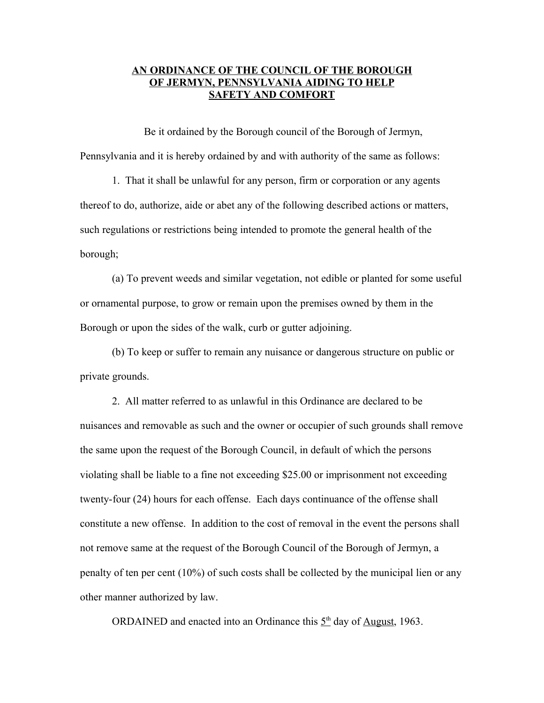## **AN ORDINANCE OF THE COUNCIL OF THE BOROUGH OF JERMYN, PENNSYLVANIA AIDING TO HELP SAFETY AND COMFORT**

Be it ordained by the Borough council of the Borough of Jermyn, Pennsylvania and it is hereby ordained by and with authority of the same as follows:

1. That it shall be unlawful for any person, firm or corporation or any agents thereof to do, authorize, aide or abet any of the following described actions or matters, such regulations or restrictions being intended to promote the general health of the borough;

(a) To prevent weeds and similar vegetation, not edible or planted for some useful or ornamental purpose, to grow or remain upon the premises owned by them in the Borough or upon the sides of the walk, curb or gutter adjoining.

(b) To keep or suffer to remain any nuisance or dangerous structure on public or private grounds.

2. All matter referred to as unlawful in this Ordinance are declared to be nuisances and removable as such and the owner or occupier of such grounds shall remove the same upon the request of the Borough Council, in default of which the persons violating shall be liable to a fine not exceeding \$25.00 or imprisonment not exceeding twenty-four (24) hours for each offense. Each days continuance of the offense shall constitute a new offense. In addition to the cost of removal in the event the persons shall not remove same at the request of the Borough Council of the Borough of Jermyn, a penalty of ten per cent (10%) of such costs shall be collected by the municipal lien or any other manner authorized by law.

ORDAINED and enacted into an Ordinance this  $5<sup>th</sup>$  day of <u>August</u>, 1963.